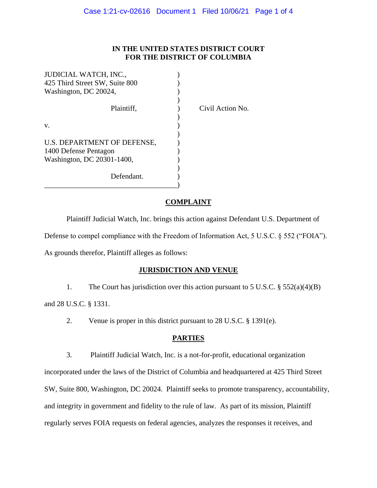#### **IN THE UNITED STATES DISTRICT COURT FOR THE DISTRICT OF COLUMBIA**

| JUDICIAL WATCH, INC.,          |  |
|--------------------------------|--|
| 425 Third Street SW, Suite 800 |  |
| Washington, DC 20024,          |  |
|                                |  |
| Plaintiff.                     |  |
|                                |  |
| v.                             |  |
|                                |  |
| U.S. DEPARTMENT OF DEFENSE,    |  |
| 1400 Defense Pentagon          |  |
| Washington, DC 20301-1400,     |  |
|                                |  |
| Defendant.                     |  |
|                                |  |

Civil Action No.

### **COMPLAINT**

Plaintiff Judicial Watch, Inc. brings this action against Defendant U.S. Department of Defense to compel compliance with the Freedom of Information Act, 5 U.S.C. § 552 ("FOIA").

As grounds therefor, Plaintiff alleges as follows:

# **JURISDICTION AND VENUE**

1. The Court has jurisdiction over this action pursuant to 5 U.S.C. § 552(a)(4)(B)

and 28 U.S.C. § 1331.

2. Venue is proper in this district pursuant to 28 U.S.C. § 1391(e).

# **PARTIES**

3. Plaintiff Judicial Watch, Inc. is a not-for-profit, educational organization

incorporated under the laws of the District of Columbia and headquartered at 425 Third Street SW, Suite 800, Washington, DC 20024. Plaintiff seeks to promote transparency, accountability, and integrity in government and fidelity to the rule of law. As part of its mission, Plaintiff regularly serves FOIA requests on federal agencies, analyzes the responses it receives, and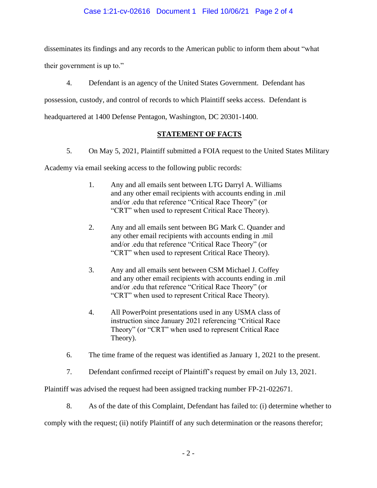#### Case 1:21-cv-02616 Document 1 Filed 10/06/21 Page 2 of 4

disseminates its findings and any records to the American public to inform them about "what

their government is up to."

4. Defendant is an agency of the United States Government. Defendant has

possession, custody, and control of records to which Plaintiff seeks access. Defendant is

headquartered at 1400 Defense Pentagon, Washington, DC 20301-1400.

# **STATEMENT OF FACTS**

5. On May 5, 2021, Plaintiff submitted a FOIA request to the United States Military

Academy via email seeking access to the following public records:

- 1. Any and all emails sent between LTG Darryl A. Williams and any other email recipients with accounts ending in .mil and/or .edu that reference "Critical Race Theory" (or "CRT" when used to represent Critical Race Theory).
- 2. Any and all emails sent between BG Mark C. Quander and any other email recipients with accounts ending in .mil and/or .edu that reference "Critical Race Theory" (or "CRT" when used to represent Critical Race Theory).
- 3. Any and all emails sent between CSM Michael J. Coffey and any other email recipients with accounts ending in .mil and/or .edu that reference "Critical Race Theory" (or "CRT" when used to represent Critical Race Theory).
- 4. All PowerPoint presentations used in any USMA class of instruction since January 2021 referencing "Critical Race Theory" (or "CRT" when used to represent Critical Race Theory).
- 6. The time frame of the request was identified as January 1, 2021 to the present.
- 7. Defendant confirmed receipt of Plaintiff's request by email on July 13, 2021.

Plaintiff was advised the request had been assigned tracking number FP-21-022671.

8. As of the date of this Complaint, Defendant has failed to: (i) determine whether to

comply with the request; (ii) notify Plaintiff of any such determination or the reasons therefor;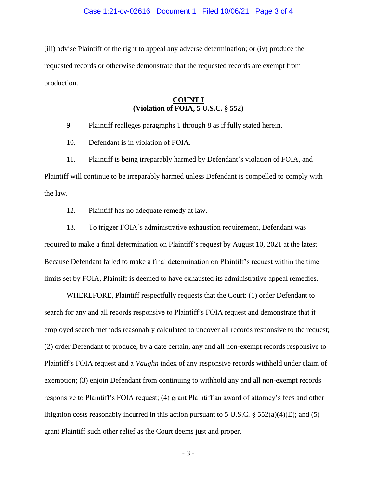(iii) advise Plaintiff of the right to appeal any adverse determination; or (iv) produce the requested records or otherwise demonstrate that the requested records are exempt from production.

### **COUNT I (Violation of FOIA, 5 U.S.C. § 552)**

9. Plaintiff realleges paragraphs 1 through 8 as if fully stated herein.

10. Defendant is in violation of FOIA.

11. Plaintiff is being irreparably harmed by Defendant's violation of FOIA, and

Plaintiff will continue to be irreparably harmed unless Defendant is compelled to comply with the law.

12. Plaintiff has no adequate remedy at law.

13. To trigger FOIA's administrative exhaustion requirement, Defendant was required to make a final determination on Plaintiff's request by August 10, 2021 at the latest. Because Defendant failed to make a final determination on Plaintiff's request within the time limits set by FOIA, Plaintiff is deemed to have exhausted its administrative appeal remedies.

WHEREFORE, Plaintiff respectfully requests that the Court: (1) order Defendant to search for any and all records responsive to Plaintiff's FOIA request and demonstrate that it employed search methods reasonably calculated to uncover all records responsive to the request; (2) order Defendant to produce, by a date certain, any and all non-exempt records responsive to Plaintiff's FOIA request and a *Vaughn* index of any responsive records withheld under claim of exemption; (3) enjoin Defendant from continuing to withhold any and all non-exempt records responsive to Plaintiff's FOIA request; (4) grant Plaintiff an award of attorney's fees and other litigation costs reasonably incurred in this action pursuant to 5 U.S.C.  $\S$  552(a)(4)(E); and (5) grant Plaintiff such other relief as the Court deems just and proper.